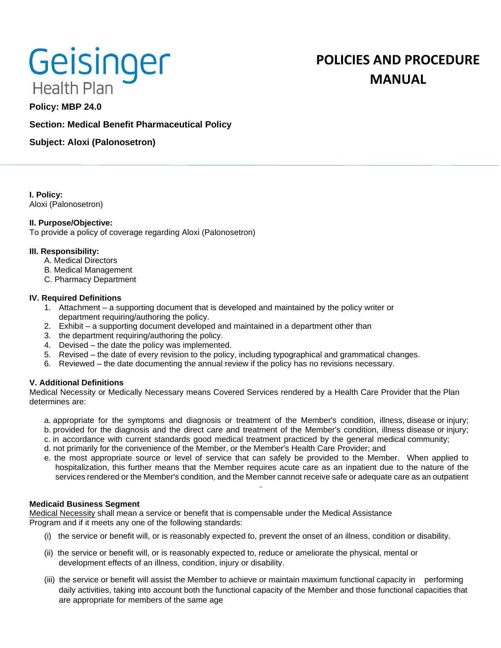# Geisinger **Health Plan**

## **POLICIES AND PROCEDURE MANUAL**

### **Policy: MBP 24.0**

#### **Section: Medical Benefit Pharmaceutical Policy**

**Subject: Aloxi (Palonosetron)**

**I. Policy:** Aloxi (Palonosetron)

#### **II. Purpose/Objective:**

To provide a policy of coverage regarding Aloxi (Palonosetron)

#### **III. Responsibility:**

- A. Medical Directors
- B. Medical Management
- C. Pharmacy Department

#### **IV. Required Definitions**

- 1. Attachment a supporting document that is developed and maintained by the policy writer or department requiring/authoring the policy.
- 2. Exhibit a supporting document developed and maintained in a department other than
- 3. the department requiring/authoring the policy.
- 4. Devised the date the policy was implemented.
- 5. Revised the date of every revision to the policy, including typographical and grammatical changes.
- 6. Reviewed the date documenting the annual review if the policy has no revisions necessary.

#### **V. Additional Definitions**

Medical Necessity or Medically Necessary means Covered Services rendered by a Health Care Provider that the Plan determines are:

- a. appropriate for the symptoms and diagnosis or treatment of the Member's condition, illness, disease or injury; b. provided for the diagnosis and the direct care and treatment of the Member's condition, illness disease or injury;
- c. in accordance with current standards good medical treatment practiced by the general medical community;
- d. not primarily for the convenience of the Member, or the Member's Health Care Provider; and
- e. the most appropriate source or level of service that can safely be provided to the Member. When applied to hospitalization, this further means that the Member requires acute care as an inpatient due to the nature of the services rendered or the Member's condition, and the Member cannot receive safe or adequate care as an outpatient

#### **Medicaid Business Segment**

Medical Necessity shall mean a service or benefit that is compensable under the Medical Assistance Program and if it meets any one of the following standards:

- (i) the service or benefit will, or is reasonably expected to, prevent the onset of an illness, condition or disability.
- (ii) the service or benefit will, or is reasonably expected to, reduce or ameliorate the physical, mental or development effects of an illness, condition, injury or disability.
- (iii) the service or benefit will assist the Member to achieve or maintain maximum functional capacity in performing daily activities, taking into account both the functional capacity of the Member and those functional capacities that are appropriate for members of the same age